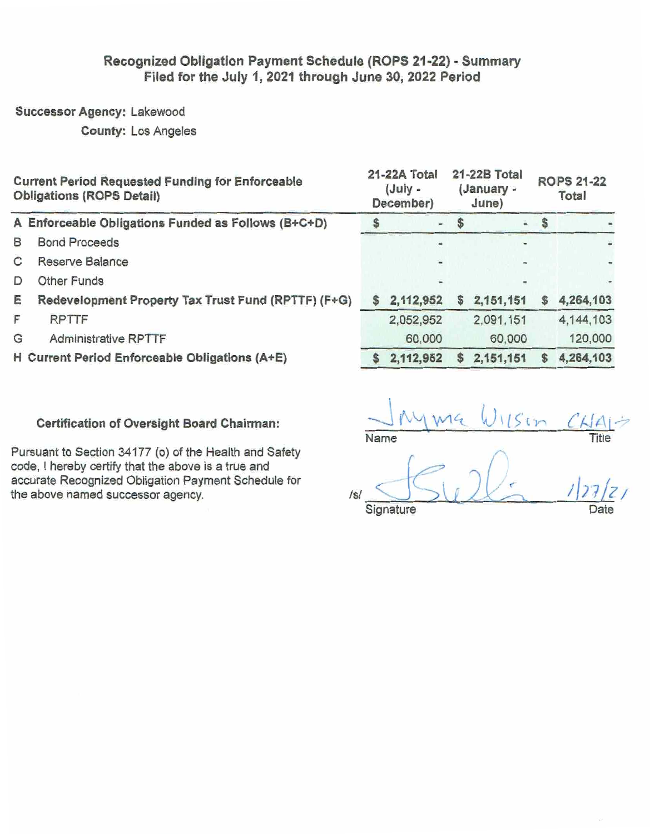# Recognized Obligation Payment Schedule (ROPS 21-22) - Summary Filed for the July 1, 2021 through June 30, 2022 Period

Successor Agency: Lakewood

**County: Los Angeles** 

|   | <b>Current Period Requested Funding for Enforceable</b><br><b>Obligations (ROPS Detail)</b> |   | 21-22A Total<br>$(July -$<br>December) |   | 21-22B Total<br>(January -<br>June) | <b>ROPS 21-22</b><br>Total |             |  |
|---|---------------------------------------------------------------------------------------------|---|----------------------------------------|---|-------------------------------------|----------------------------|-------------|--|
|   | A Enforceable Obligations Funded as Follows (B+C+D)                                         |   | m.                                     |   | $\blacksquare$                      | -S                         |             |  |
| B | <b>Bond Proceeds</b>                                                                        |   |                                        |   |                                     |                            |             |  |
| С | Reserve Balance                                                                             |   |                                        |   |                                     |                            |             |  |
| D | <b>Other Funds</b>                                                                          |   |                                        |   | w.                                  |                            |             |  |
| E | Redevelopment Property Tax Trust Fund (RPTTF) (F+G)                                         |   | 2,112,952                              | s | 2,151,151                           |                            | 4,264,103   |  |
| F | <b>RPTTF</b>                                                                                |   | 2,052,952                              |   | 2,091,151                           |                            | 4, 144, 103 |  |
| G | <b>Administrative RPTTF</b>                                                                 |   | 60,000                                 |   | 60,000                              |                            | 120,000     |  |
|   | H Current Period Enforceable Obligations (A+E)                                              | S | 2,112,952                              | S | 2,151,151                           |                            | 4,264,103   |  |

### Certification of Oversight Board Chairman:

Pursuant to Section 34177 (o) of the Health and Safety code, I hereby certify that the above is a true and accurate Recognized Obligation Payment Schedule for the above named successor agency.

 $115m$ Name Title

 $/s<sub>i</sub>$ Signature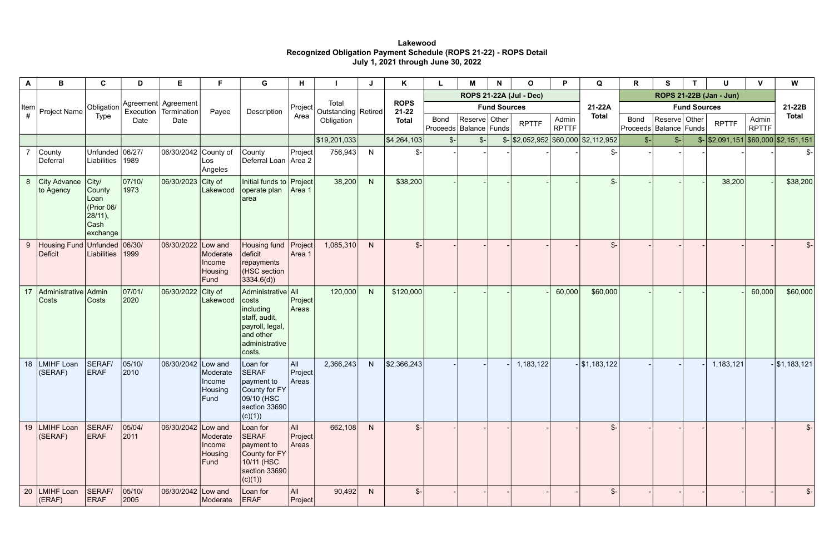### **Lakewood Recognized Obligation Payment Schedule (ROPS 21-22) - ROPS Detail July 1, 2021 through June 30, 2022**

| A  | В                                                                         | $\mathbf{C}$                                                       | D                        | Е                                            | F                                                | G                                                                                                                     | H                              |                                |   | K                        |                 | M                                           | N                   | 0                                                 | P.                    | Q               | R                                         | S               |  | U                                                 | $\mathbf{V}$          | W               |
|----|---------------------------------------------------------------------------|--------------------------------------------------------------------|--------------------------|----------------------------------------------|--------------------------------------------------|-----------------------------------------------------------------------------------------------------------------------|--------------------------------|--------------------------------|---|--------------------------|-----------------|---------------------------------------------|---------------------|---------------------------------------------------|-----------------------|-----------------|-------------------------------------------|-----------------|--|---------------------------------------------------|-----------------------|-----------------|
|    |                                                                           |                                                                    |                          |                                              |                                                  |                                                                                                                       |                                |                                |   |                          |                 |                                             |                     | <b>ROPS 21-22A (Jul - Dec)</b>                    |                       |                 | ROPS 21-22B (Jan - Jun)                   |                 |  |                                                   |                       | 21-22B          |
|    | $\begin{bmatrix}$ Item<br>$\begin{bmatrix} \# \end{bmatrix}$ Project Name | Obligation                                                         |                          | Agreement Agreement<br>Execution Termination | Payee                                            | Description                                                                                                           | Project                        | Total<br>Outstanding   Retired |   | <b>ROPS</b><br>$21 - 22$ |                 |                                             | <b>Fund Sources</b> |                                                   |                       | 21-22A          | <b>Fund Sources</b>                       |                 |  |                                                   |                       |                 |
|    |                                                                           | <b>Type</b>                                                        | Date                     | Date                                         |                                                  |                                                                                                                       | Area                           | Obligation                     |   | <b>Total</b>             | <b>Bond</b>     | Reserve Other<br>Proceeds   Balance   Funds |                     | <b>RPTTF</b>                                      | Admin<br><b>RPTTF</b> | <b>Total</b>    | <b>Bond</b><br>Proceeds   Balance   Funds | Reserve Other   |  | <b>RPTTF</b>                                      | Admin<br><b>RPTTF</b> | <b>Total</b>    |
|    |                                                                           |                                                                    |                          |                                              |                                                  |                                                                                                                       |                                | \$19,201,033                   |   | \$4,264,103              | $\mathcal{S}$ - | $\frac{2}{2}$                               |                     | $\frac{1}{2}$ \\$2,052,952 \\$60,000 \\$2,112,952 |                       |                 | $S-$                                      | $\mathcal{S}$ - |  | $\frac{1}{2}$ \\$2,091,151 \\$60,000 \\$2,151,151 |                       |                 |
|    | County<br>Deferral                                                        | Unfunded 06/27/<br>Liabilities 1989                                |                          | 06/30/2042 County of                         | Los<br>Angeles                                   | County<br>Deferral Loan   Area 2                                                                                      | Project                        | 756,943                        | N | $\frac{2}{2}$            |                 |                                             |                     |                                                   |                       |                 |                                           |                 |  |                                                   |                       | \$-             |
| 8  | City Advance City/<br>to Agency                                           | <b>County</b><br>Loan<br>(Prior 06/<br>28/11),<br>Cash<br>exchange | 07/10/<br>1973           | 06/30/2023 City of                           | Lakewood                                         | Initial funds to Project<br>operate plan<br>area                                                                      | Area 1                         | 38,200                         | N | \$38,200                 |                 |                                             |                     |                                                   |                       | $S -$           |                                           |                 |  | 38,200                                            |                       | \$38,200        |
| 9  | Housing Fund Unfunded 06/30/<br><b>Deficit</b>                            | Liabilities 1999                                                   |                          | 06/30/2022                                   | Low and<br>Moderate<br>Income<br>Housing<br>Fund | Housing fund<br>deficit<br>repayments<br>(HSC section<br>3334.6(d)                                                    | $ \mathsf{Project} $<br>Area 1 | 1,085,310                      | N | $\mathcal{S}-$           |                 |                                             |                     |                                                   |                       | $\mathbb{S}$    |                                           |                 |  |                                                   |                       | $\mathcal{S}$ - |
| 17 | Administrative Admin<br>Costs                                             | Costs                                                              | 07/01/<br>2020           | 06/30/2022                                   | City of<br>Lakewood                              | Administrative All<br>costs<br>including<br>staff, audit,<br>payroll, legal,<br>and other<br>administrative<br>costs. | $ $ Project $ $<br>Areas       | 120,000                        | N | \$120,000                |                 |                                             |                     |                                                   | 60,000                | \$60,000        |                                           |                 |  |                                                   | 60,000                | \$60,000        |
| 18 | LMIHF Loan<br>(SERAF)                                                     | SERAF/<br><b>ERAF</b>                                              | 05/10/<br>2010           | 06/30/2042                                   | Low and<br>Moderate<br>Income<br>Housing<br>Fund | Loan for<br><b>SERAF</b><br>$ $ payment to<br>County for FY<br>09/10 (HSC<br> section 33690  <br>(c)(1))              | All<br> Project <br>Areas      | 2,366,243                      | N | \$2,366,243              |                 |                                             |                     | 1,183,122                                         |                       | $-$ \$1,183,122 |                                           |                 |  | 1,183,121                                         |                       | $-$ \$1,183,121 |
| 19 | LMIHF Loan<br>(SERAF)                                                     | SERAF/<br><b>ERAF</b>                                              | 05/04/<br>$ 2011\rangle$ | 06/30/2042 Low and                           | Moderate<br>Income<br>Housing<br>Fund            | Loan for<br><b>SERAF</b><br>payment to<br>County for FY<br>10/11 (HSC<br>section 33690<br>(c)(1))                     | All  <br>$ $ Project<br>Areas  | 662,108                        | N | $\mathcal{S}$ -          |                 |                                             |                     |                                                   |                       | $\mathcal{S}$ - |                                           |                 |  |                                                   |                       | $\frac{2}{2}$   |
| 20 | LMIHF Loan<br>(ERAF)                                                      | SERAF/<br><b>ERAF</b>                                              | 05/10/<br> 2005          | 06/30/2042 Low and                           | Moderate                                         | Loan for<br>ERAF                                                                                                      | All<br>$ $ Project $ $         | 90,492                         | N | $\frac{2}{3}$            |                 |                                             |                     |                                                   |                       | $\frac{2}{2}$   |                                           |                 |  |                                                   |                       | $\frac{2}{3}$   |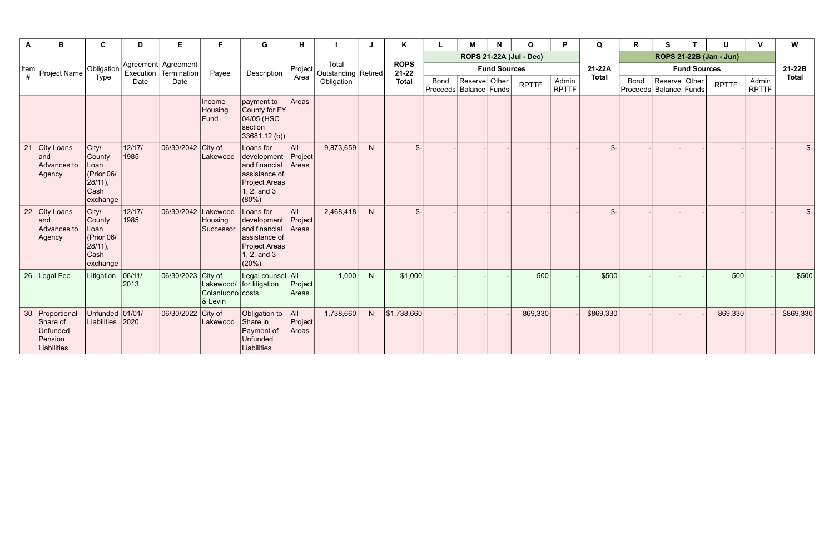| A                                          | B                                                                   | C                                                                       | D              | Е                                              | F                           | G                                                                                                            | H                          |                                              | J            | K                                        |                                           | M             | N | $\mathbf 0$  | P                     | Q               | R                                         | S             |  | U            | $\mathbf v$           | W               |
|--------------------------------------------|---------------------------------------------------------------------|-------------------------------------------------------------------------|----------------|------------------------------------------------|-----------------------------|--------------------------------------------------------------------------------------------------------------|----------------------------|----------------------------------------------|--------------|------------------------------------------|-------------------------------------------|---------------|---|--------------|-----------------------|-----------------|-------------------------------------------|---------------|--|--------------|-----------------------|-----------------|
|                                            |                                                                     |                                                                         |                |                                                |                             |                                                                                                              |                            |                                              |              | <b>ROPS</b><br>$21 - 22$<br><b>Total</b> | <b>ROPS 21-22A (Jul - Dec)</b>            |               |   |              |                       |                 |                                           |               |  |              |                       |                 |
| $\left \begin{array}{c}$ Item $\downarrow$ | Project Name                                                        | Obligation                                                              |                | Agreement Agreement<br>Execution   Termination | Payee                       | Description                                                                                                  |                            | Total<br>$ Project $ Outstanding $ Retired $ |              |                                          | <b>Fund Sources</b>                       |               |   |              |                       | 21-22A          | <b>Fund Sources</b>                       |               |  |              |                       | 21-22B          |
|                                            |                                                                     | Type                                                                    | Date           | Date                                           |                             |                                                                                                              | Area                       | Obligation                                   |              |                                          | <b>Bond</b><br>Proceeds   Balance   Funds | Reserve Other |   | <b>RPTTF</b> | Admin<br><b>RPTTF</b> | <b>Total</b>    | <b>Bond</b><br>Proceeds   Balance   Funds | Reserve Other |  | <b>RPTTF</b> | Admin<br><b>RPTTF</b> | <b>Total</b>    |
|                                            |                                                                     |                                                                         |                |                                                | Income<br>Housing<br>Fund   | payment to<br>County for FY<br>04/05 (HSC<br>section<br>33681.12(b)                                          | Areas                      |                                              |              |                                          |                                           |               |   |              |                       |                 |                                           |               |  |              |                       |                 |
| 21                                         | City Loans<br>and<br>Advances to<br>Agency                          | City/<br>County<br>Loan<br>(Prior 06/<br>$28/11$ ),<br>Cash<br>exchange | 12/17/<br>1985 | 06/30/2042 City of                             | Lakewood                    | Loans for<br>development<br>and financial<br>assistance of<br>Project Areas<br>1, 2, and 3<br>$(80\%)$       | All<br> Project <br>Areas  | 9,873,659                                    | $\mathsf{N}$ | $\mathcal{S}$ -                          |                                           |               |   |              |                       | $\mathcal{S}$ - |                                           |               |  |              |                       | $\mathcal{S}$ - |
| 22                                         | City Loans<br>and<br>Advances to<br>Agency                          | City/<br>County<br>Loan<br>(Prior 06/<br>$28/11$ ),<br>Cash<br>exchange | 12/17/<br>1985 | 06/30/2042 Lakewood                            | Housing<br>Successor        | Loans for<br>development<br>and financial<br>assistance of<br><b>Project Areas</b><br>$1, 2,$ and 3<br>(20%) | ∣All<br> Project <br>Areas | 2,468,418                                    | $\mathsf{N}$ | $\frac{2}{2}$                            |                                           |               |   |              |                       | $\mathcal{S}$   |                                           |               |  |              |                       | $\mathcal{S}$ - |
| 26                                         | <b>Legal Fee</b>                                                    | Litigation                                                              | 06/11/<br>2013 | 06/30/2023 City of                             | Colantuono costs<br>& Levin | Legal counsel All<br>Lakewood/   for litigation                                                              | Project <br>Areas          | 1,000                                        | N            | \$1,000                                  |                                           |               |   | 500          |                       | \$500           |                                           |               |  | 500          |                       | \$500           |
|                                            | 30   Proportional<br>Share of<br>Unfunded<br>Pension<br>Liabilities | Unfunded 01/01/<br>Liabilities 2020                                     |                | 06/30/2022 City of                             | Lakewood                    | Obligation to<br>Share in<br>Payment of<br><b>Unfunded</b><br>Liabilities                                    | All  <br>Project<br>Areas  | 1,738,660                                    | N            | \$1,738,660                              |                                           |               |   | 869,330      |                       | \$869,330       |                                           |               |  | 869,330      |                       | \$869,330       |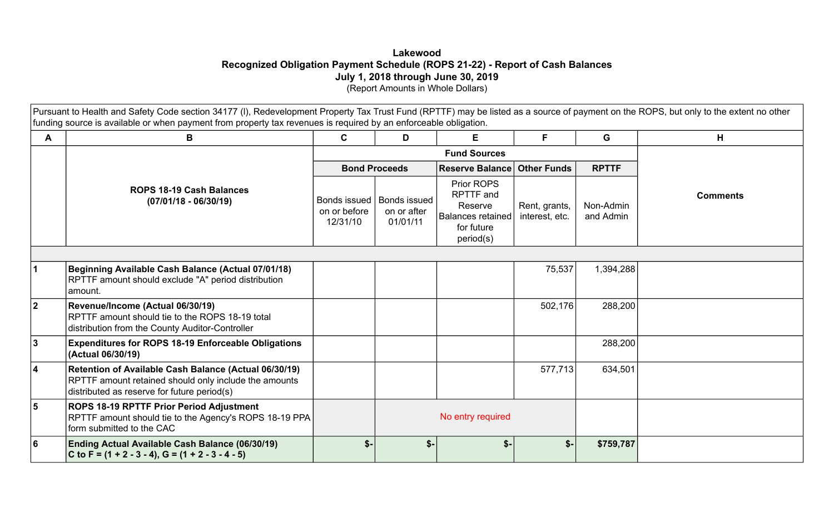### **Lakewood Recognized Obligation Payment Schedule (ROPS 21-22) - Report of Cash Balances July 1, 2018 through June 30, 2019**  (Report Amounts in Whole Dollars)

Pursuant to Health and Safety Code section 34177 (I), Redevelopment Property Tax Trust Fund (RPTTF) may be listed as a source of payment on the ROPS, but only to the extent no other funding source is available or when payment from property tax revenues is required by an enforceable obligation.

|                | B                                                                                                                                                             | E<br>C<br>D                              |                                                | F.                                                                                 | G                                  | H                      |                 |  |
|----------------|---------------------------------------------------------------------------------------------------------------------------------------------------------------|------------------------------------------|------------------------------------------------|------------------------------------------------------------------------------------|------------------------------------|------------------------|-----------------|--|
|                |                                                                                                                                                               |                                          |                                                |                                                                                    |                                    |                        |                 |  |
|                |                                                                                                                                                               |                                          | <b>Bond Proceeds</b>                           |                                                                                    | <b>Reserve Balance Other Funds</b> |                        |                 |  |
|                | <b>ROPS 18-19 Cash Balances</b><br>$(07/01/18 - 06/30/19)$                                                                                                    | Bonds issued<br>on or before<br>12/31/10 | <b>Bonds issued</b><br>on or after<br>01/01/11 | Prior ROPS<br>RPTTF and<br>Reserve<br>Balances retained<br>for future<br>period(s) | Rent, grants,<br>interest, etc.    | Non-Admin<br>and Admin | <b>Comments</b> |  |
|                |                                                                                                                                                               |                                          |                                                |                                                                                    |                                    |                        |                 |  |
|                | Beginning Available Cash Balance (Actual 07/01/18)<br>RPTTF amount should exclude "A" period distribution<br>amount.                                          |                                          |                                                |                                                                                    | 75,537                             | 1,394,288              |                 |  |
| $\overline{2}$ | Revenue/Income (Actual 06/30/19)<br>RPTTF amount should tie to the ROPS 18-19 total<br>distribution from the County Auditor-Controller                        |                                          |                                                |                                                                                    | 502,176                            | 288,200                |                 |  |
| 3              | <b>Expenditures for ROPS 18-19 Enforceable Obligations</b><br>(Actual 06/30/19)                                                                               |                                          |                                                |                                                                                    |                                    | 288,200                |                 |  |
| 4              | Retention of Available Cash Balance (Actual 06/30/19)<br>RPTTF amount retained should only include the amounts<br>distributed as reserve for future period(s) |                                          |                                                |                                                                                    | 577,713                            | 634,501                |                 |  |
| 5              | ROPS 18-19 RPTTF Prior Period Adjustment<br>RPTTF amount should tie to the Agency's ROPS 18-19 PPA<br>form submitted to the CAC                               |                                          |                                                | No entry required                                                                  |                                    |                        |                 |  |
| 6              | Ending Actual Available Cash Balance (06/30/19)<br>C to F = $(1 + 2 - 3 - 4)$ , G = $(1 + 2 - 3 - 4 - 5)$                                                     | $$-$                                     | $S-$                                           | $$$ -                                                                              | $$-$                               | \$759,787              |                 |  |